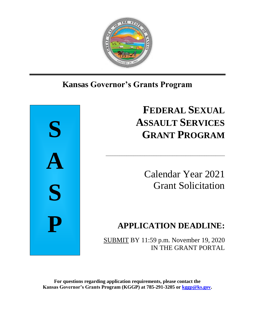

## Ι **Kansas Governor's Grants Program**



# **FEDERAL SEXUAL ASSAULT SERVICES GRANT PROGRAM**

Calendar Year 2021 Grant Solicitation

## **APPLICATION DEADLINE:**

SUBMIT BY 11:59 p.m. November 19, 2020 IN THE GRANT PORTAL

\_\_\_\_\_\_\_\_\_\_\_\_\_\_\_\_\_\_\_\_\_\_\_\_\_\_\_\_\_\_\_\_\_\_\_\_\_\_\_\_\_\_\_\_\_\_\_\_\_\_\_\_

**For questions regarding application requirements, please contact the Kansas Governor's Grants Program (KGGP) at 785-291-3205 or [kggp@ks.gov.](mailto:kggp@ks.gov)**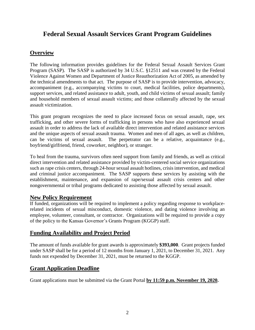## **Federal Sexual Assault Services Grant Program Guidelines**

## **Overview**

The following information provides guidelines for the Federal Sexual Assault Services Grant Program (SASP). The SASP is authorized by 34 U.S.C. §12511 and was created by the Federal Violence Against Women and Department of Justice Reauthorization Act of 2005, as amended by the technical amendments to that act. The purpose of SASP is to provide intervention, advocacy, accompaniment (e.g., accompanying victims to court, medical facilities, police departments), support services, and related assistance to adult, youth, and child victims of sexual assault; family and household members of sexual assault victims; and those collaterally affected by the sexual assault victimization.

This grant program recognizes the need to place increased focus on sexual assault, rape, sex trafficking, and other severe forms of trafficking in persons who have also experienced sexual assault in order to address the lack of available direct intervention and related assistance services and the unique aspects of sexual assault trauma. Women and men of all ages, as well as children, can be victims of sexual assault. The perpetrator can be a relative, acquaintance (e.g., boyfriend/girlfriend, friend, coworker, neighbor), or stranger.

To heal from the trauma, survivors often need support from family and friends, as well as critical direct intervention and related assistance provided by victim-centered social service organizations such as rape crisis centers, through 24-hour sexual assault hotlines, crisis intervention, and medical and criminal justice accompaniment. The SASP supports these services by assisting with the establishment, maintenance, and expansion of rape/sexual assault crisis centers and other nongovernmental or tribal programs dedicated to assisting those affected by sexual assault.

## **New Policy Requirement**

If funded, organizations will be required to implement a policy regarding response to workplacerelated incidents of sexual misconduct, domestic violence, and dating violence involving an employee, volunteer, consultant, or contractor. Organizations will be required to provide a copy of the policy to the Kansas Governor's Grants Program (KGGP) staff.

## **Funding Availability and Project Period**

The amount of funds available for grant awards is approximately **\$393,000**. Grant projects funded under SASP shall be for a period of 12 months from January 1, 2021, to December 31, 2021. Any funds not expended by December 31, 2021, must be returned to the KGGP.

## **Grant Application Deadline**

Grant applications must be submitted via the Grant Portal **by 11:59 p.m. November 19, 2020.**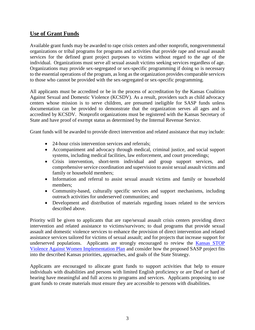## **Use of Grant Funds**

Available grant funds may be awarded to rape crisis centers and other nonprofit, nongovernmental organizations or tribal programs for programs and activities that provide rape and sexual assault services for the defined grant project purposes to victims without regard to the age of the individual. Organizations must serve all sexual assault victims seeking services regardless of age. Organizations may provide sex-segregated or sex-specific programming if doing so is necessary to the essential operations of the program, as long as the organization provides comparable services to those who cannot be provided with the sex-segregated or sex-specific programming.

All applicants must be accredited or be in the process of accreditation by the Kansas Coalition Against Sexual and Domestic Violence (KCSDV). As a result, providers such as child advocacy centers whose mission is to serve children, are presumed ineligible for SASP funds unless documentation can be provided to demonstrate that the organization serves all ages and is accredited by KCSDV. Nonprofit organizations must be registered with the Kansas Secretary of State and have proof of exempt status as determined by the Internal Revenue Service.

Grant funds will be awarded to provide direct intervention and related assistance that may include:

- 24-hour crisis intervention services and referrals;
- Accompaniment and advocacy through medical, criminal justice, and social support systems, including medical facilities, law enforcement, and court proceedings;
- Crisis intervention, short-term individual and group support services, and comprehensive service coordination and supervision to assist sexual assault victims and family or household members;
- Information and referral to assist sexual assault victims and family or household members;
- Community-based, culturally specific services and support mechanisms, including outreach activities for underserved communities; and
- Development and distribution of materials regarding issues related to the services described above.

Priority will be given to applicants that are rape/sexual assault crisis centers providing direct intervention and related assistance to victims/survivors; to dual programs that provide sexual assault and domestic violence services to enhance the provision of direct intervention and related assistance services tailored for victims of sexual assault; and for projects that increase support for underserved populations. Applicants are strongly encouraged to review the [Kansas STOP](https://www.grants.ks.gov/docs/default-source/Grant-Reports/final-ffy-2017-2020-stop-vawa-implementation-plan.pdf?sfvrsn=ab9a551a_2)  [Violence Against Women Implementation Plan](https://www.grants.ks.gov/docs/default-source/Grant-Reports/final-ffy-2017-2020-stop-vawa-implementation-plan.pdf?sfvrsn=ab9a551a_2) and consider how the proposed SASP project fits into the described Kansas priorities, approaches, and goals of the State Strategy.

Applicants are encouraged to allocate grant funds to support activities that help to ensure individuals with disabilities and persons with limited English proficiency or are Deaf or hard of hearing have meaningful and full access to programs and services. Applicants proposing to use grant funds to create materials must ensure they are accessible to persons with disabilities.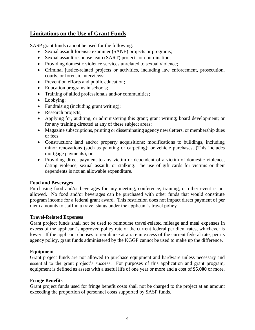## **Limitations on the Use of Grant Funds**

SASP grant funds cannot be used for the following:

- Sexual assault forensic examiner (SANE) projects or programs;
- Sexual assault response team (SART) projects or coordination;
- Providing domestic violence services unrelated to sexual violence;
- Criminal justice-related projects or activities, including law enforcement, prosecution, courts, or forensic interviews;
- Prevention efforts and public education;
- Education programs in schools;
- Training of allied professionals and/or communities;
- Lobbying;
- Fundraising (including grant writing);
- Research projects;
- Applying for, auditing, or administering this grant; grant writing; board development; or for any training directed at any of these subject areas;
- Magazine subscriptions, printing or disseminating agency newsletters, or membership dues or fees;
- Construction; land and/or property acquisitions; modifications to buildings, including minor renovations (such as painting or carpeting); or vehicle purchases. (This includes mortgage payments); or
- Providing direct payment to any victim or dependent of a victim of domestic violence, dating violence, sexual assault, or stalking. The use of gift cards for victims or their dependents is not an allowable expenditure.

#### **Food and Beverages**

Purchasing food and/or beverages for any meeting, conference, training, or other event is not allowed. No food and/or beverages can be purchased with other funds that would constitute program income for a federal grant award. This restriction does not impact direct payment of per diem amounts to staff in a travel status under the applicant's travel policy.

#### **Travel-Related Expenses**

Grant project funds shall not be used to reimburse travel-related mileage and meal expenses in excess of the applicant's approved policy rate or the current federal per diem rates, whichever is lower. If the applicant chooses to reimburse at a rate in excess of the current federal rate, per its agency policy, grant funds administered by the KGGP cannot be used to make up the difference.

#### **Equipment**

Grant project funds are not allowed to purchase equipment and hardware unless necessary and essential to the grant project's success. For purposes of this application and grant program, equipment is defined as assets with a useful life of one year or more and a cost of **\$5,000** or more.

#### **Fringe Benefits**

Grant project funds used for fringe benefit costs shall not be charged to the project at an amount exceeding the proportion of personnel costs supported by SASP funds.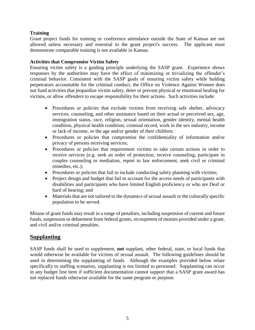#### **Training**

Grant project funds for training or conference attendance outside the State of Kansas are not allowed unless necessary and essential to the grant project's success. The applicant must demonstrate comparable training is not available in Kansas.

#### **Activities that Compromise Victim Safety**

Ensuring victim safety is a guiding principle underlying the SASP grant. Experience shows responses by the authorities may have the effect of minimizing or trivializing the offender's criminal behavior. Consistent with the SASP goals of ensuring victim safety while holding perpetrators accountable for the criminal conduct, the Office on Violence Against Women does not fund activities that jeopardize victim safety, deter or prevent physical or emotional healing for victims, or allow offenders to escape responsibility for their actions. Such activities include:

- Procedures or policies that exclude victims from receiving safe shelter, advocacy services, counseling, and other assistance based on their actual or perceived sex, age, immigration status, race, religion, sexual orientation, gender identity, mental health condition, physical health condition, criminal record, work in the sex industry, income or lack of income, or the age and/or gender of their children;
- Procedures or policies that compromise the confidentiality of information and/or privacy of persons receiving services;
- Procedures or policies that requirement victims to take certain actions in order to receive services (e.g. seek an order of protection, receive counseling, participate in couples counseling or mediation, report to law enforcement, seek civil or criminal remedies, etc.);
- Procedures or policies that fail to include conducting safety planning with victims;
- Project design and budget that fail to account for the access needs of participants with disabilities and participants who have limited English proficiency or who are Deaf or hard of hearing; and
- Materials that are not tailored to the dynamics of sexual assault or the culturally specific population to be served.

Misuse of grant funds may result in a range of penalties, including suspension of current and future funds, suspension or debarment from federal grants, recoupment of monies provided under a grant, and civil and/or criminal penalties.

## **Supplanting**

SASP funds shall be used to supplement, **not** supplant, other federal, state, or local funds that would otherwise be available for victims of sexual assault. The following guidelines should be used in determining the supplanting of funds. Although the examples provided below relate specifically to staffing scenarios, supplanting is not limited to personnel. Supplanting can occur in any budget line item if sufficient documentation cannot support that a SASP grant award has not replaced funds otherwise available for the same program or purpose.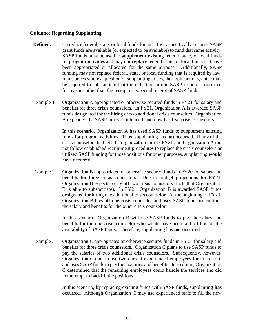#### **Guidance Regarding Supplanting**

- **Defined:** To reduce federal, state, or local funds for an activity specifically because SASP grant funds are available (or expected to be available) to fund that same activity. SASP funds must be used to **supplement** existing federal, state, or local funds for program activities and may **not replace** federal, state, or local funds that have been appropriated or allocated for the same purpose. Additionally, SASP funding may not replace federal, state, or local funding that is required by law. In instances where a question of supplanting arises, the applicant or grantee may be required to substantiate that the reduction in non-SASP resources occurred for reasons other than the receipt or expected receipt of SASP funds.
- Example 1 Organization A appropriated or otherwise secured funds in FY21 for salary and benefits for three crisis counselors. In FY21, Organization A is awarded SASP funds designated for the hiring of two additional crisis counselors. Organization A expended the SASP funds as intended, and now has five crisis counselors.

In this scenario, Organization A has used SASP funds to supplement existing funds for program activities. Thus, supplanting has **not** occurred. If any of the crisis counselors had left the organization during FY21 and Organization A did not follow established recruitment procedures to replace the crisis counselors or utilized SASP funding for those positions for other purposes, supplanting **would** have occurred.

Example 2 Organization B appropriated or otherwise secured funds in FY20 for salary and benefits for three crisis counselors. Due to budget projections for FY21, Organization B expects to lay off two crisis counselors (facts that Organization B is able to substantiate). In FY21, Organization B is awarded SASP funds designated for hiring one additional crisis counselor. At the beginning of FY21, Organization B lays off one crisis counselor and uses SASP funds to continue the salary and benefits for the other crisis counselor.

> In this scenario, Organization B will use SASP funds to pay the salary and benefits for the one crisis counselor who would have been laid off but for the availability of SASP funds. Therefore, supplanting has **not** occurred.

Example 3 Organization C appropriates or otherwise secures funds in FY21 for salary and benefits for three crisis counselors. Organization C plans to use SASP funds to pay the salaries of two additional crisis counselors. Subsequently, however, Organization C opts to use two current experienced employees for this effort, and uses SASP funds to pay their salaries and benefits. In so doing, Organization C determined that the remaining employees could handle the services and did not attempt to backfill the positions.

> In this scenario, by replacing existing funds with SASP funds, supplanting **has** occurred. Although Organization C may use experienced staff to fill the new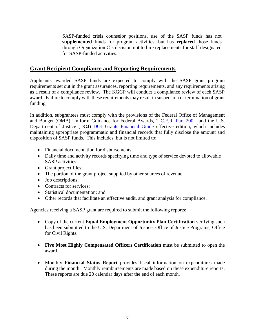SASP-funded crisis counselor positions, use of the SASP funds has not **supplemented** funds for program activities, but has **replaced** those funds through Organization C's decision not to hire replacements for staff designated for SASP-funded activities.

## **Grant Recipient Compliance and Reporting Requirements**

Applicants awarded SASP funds are expected to comply with the SASP grant program requirements set out in the grant assurances, reporting requirements, and any requirements arising as a result of a compliance review. The KGGP will conduct a compliance review of each SASP award. Failure to comply with these requirements may result in suspension or termination of grant funding.

In addition, subgrantees must comply with the provisions of the Federal Office of Management and Budget (OMB) Uniform Guidance for Federal Awards, 2 C.F.R. [Part 200;](http://www.ecfr.gov/cgi-bin/text-idx?SID=2c6d1c9f8de1f9619110b4599d84a234&mc=true&node=pt2.1.200&rgn=div5#_top) and the U.S. Department of Justice (DOJ) [DOJ Grants Financial Guide](http://ojp.gov/financialguide/DOJ/index.htm) effective edition, which includes maintaining appropriate programmatic and financial records that fully disclose the amount and disposition of SASP funds. This includes, but is not limited to:

- Financial documentation for disbursements;
- Daily time and activity records specifying time and type of service devoted to allowable SASP activities;
- Grant project files;
- The portion of the grant project supplied by other sources of revenue;
- Job descriptions;
- Contracts for services:
- Statistical documentation; and
- Other records that facilitate an effective audit, and grant analysis for compliance.

Agencies receiving a SASP grant are required to submit the following reports:

- Copy of the current **Equal Employment Opportunity Plan Certification** verifying such has been submitted to the U.S. Department of Justice, Office of Justice Programs, Office for Civil Rights.
- **Five Most Highly Compensated Officers Certification** must be submitted to open the award.
- Monthly **Financial Status Report** provides fiscal information on expenditures made during the month. Monthly reimbursements are made based on these expenditure reports. These reports are due 20 calendar days after the end of each month.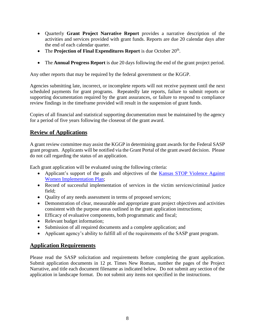- Quarterly **Grant Project Narrative Report** provides a narrative description of the activities and services provided with grant funds. Reports are due 20 calendar days after the end of each calendar quarter.
- The **Projection of Final Expenditures Report** is due October  $20<sup>th</sup>$ .
- The **Annual Progress Report** is due 20 days following the end of the grant project period.

Any other reports that may be required by the federal government or the KGGP.

Agencies submitting late, incorrect, or incomplete reports will not receive payment until the next scheduled payments for grant programs. Repeatedly late reports, failure to submit reports or supporting documentation required by the grant assurances, or failure to respond to compliance review findings in the timeframe provided will result in the suspension of grant funds.

Copies of all financial and statistical supporting documentation must be maintained by the agency for a period of five years following the closeout of the grant award.

## **Review of Applications**

A grant review committee may assist the KGGP in determining grant awards for the Federal SASP grant program. Applicants will be notified via the Grant Portal of the grant award decision. Please do not call regarding the status of an application.

Each grant application will be evaluated using the following criteria:

- Applicant's support of the goals and objectives of the Kansas STOP Violence Against [Women Implementation Plan;](http://www.grants.ks.gov/docs/default-source/Grant-Reports/final-ffy-2017-2020-stop-vawa-implementation-plan.pdf?sfvrsn=2)
- Record of successful implementation of services in the victim services/criminal justice field;
- Quality of any needs assessment in terms of proposed services;
- Demonstration of clear, measurable and appropriate grant project objectives and activities consistent with the purpose areas outlined in the grant application instructions;
- Efficacy of evaluative components, both programmatic and fiscal;
- Relevant budget information;
- Submission of all required documents and a complete application; and
- Applicant agency's ability to fulfill all of the requirements of the SASP grant program.

## **Application Requirements**

Please read the SASP solicitation and requirements before completing the grant application. Submit application documents in 12 pt. Times New Roman, number the pages of the Project Narrative, and title each document filename as indicated below. Do not submit any section of the application in landscape format. Do not submit any items not specified in the instructions.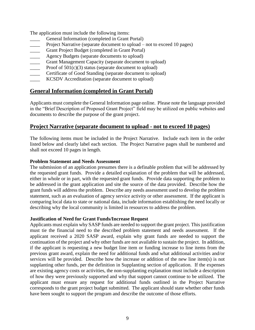The application must include the following items:

- General Information (completed in Grant Portal)
- Project Narrative (separate document to upload not to exceed 10 pages)
- Grant Project Budget (completed in Grant Portal)
- Agency Budgets (separate documents to upload)
- Grant Management Capacity (separate document to upload)
- Proof of  $501(c)(3)$  status (separate document to upload)
- Certificate of Good Standing (separate document to upload)
- KCSDV Accreditation (separate document to upload)

## **General Information (completed in Grant Portal)**

Applicants must complete the General Information page online. Please note the language provided in the "Brief Description of Proposed Grant Project" field may be utilized on public websites and documents to describe the purpose of the grant project.

## **Project Narrative (separate document to upload - not to exceed 10 pages)**

The following items must be included in the Project Narrative. Include each item in the order listed below and clearly label each section. The Project Narrative pages shall be numbered and shall not exceed 10 pages in length.

#### **Problem Statement and Needs Assessment**

The submission of an application presumes there is a definable problem that will be addressed by the requested grant funds. Provide a detailed explanation of the problem that will be addressed, either in whole or in part, with the requested grant funds. Provide data supporting the problem to be addressed in the grant application and site the source of the data provided. Describe how the grant funds will address the problem. Describe any needs assessment used to develop the problem statement, such as an evaluation of agency service activity or other assessment. If the applicant is comparing local data to state or national data, include information establishing the need locally or describing why the local community is limited in resources to address the problem.

#### **Justification of Need for Grant Funds/Increase Request**

Applicants must explain why SASP funds are needed to support the grant project. This justification must tie the financial need to the described problem statement and needs assessment. If the applicant received a 2020 SASP award, explain why grant funds are needed to support the continuation of the project and why other funds are not available to sustain the project. In addition, if the applicant is requesting a new budget line item or funding increase to line items from the previous grant award, explain the need for additional funds and what additional activities and/or services will be provided. Describe how the increase or addition of the new line item(s) is not supplanting other funds, per the definition in Supplanting section of application. If the expenses are existing agency costs or activities, the non-supplanting explanation must include a description of how they were previously supported and why that support cannot continue to be utilized. The applicant must ensure any request for additional funds outlined in the Project Narrative corresponds to the grant project budget submitted. The applicant should state whether other funds have been sought to support the program and describe the outcome of those efforts.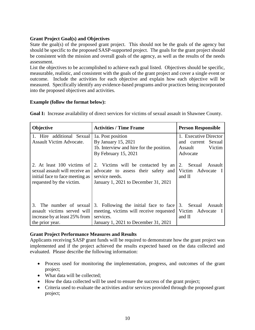#### **Grant Project Goal(s) and Objectives**

State the goal(s) of the proposed grant project. This should not be the goals of the agency but should be specific to the proposed SASP-supported project. The goals for the grant project should be consistent with the mission and overall goals of the agency, as well as the results of the needs assessment.

List the objectives to be accomplished to achieve each goal listed. Objectives should be specific, measurable, realistic, and consistent with the goals of the grant project and cover a single event or outcome. Include the activities for each objective and explain how each objective will be measured. Specifically identify any evidence-based programs and/or practices being incorporated into the proposed objectives and activities.

#### **Example (follow the format below):**

| Objective                                                                                                                   | <b>Activities / Time Frame</b>                                                                                                        | <b>Person Responsible</b>                                                    |
|-----------------------------------------------------------------------------------------------------------------------------|---------------------------------------------------------------------------------------------------------------------------------------|------------------------------------------------------------------------------|
| 1. Hire additional Sexual<br>Assault Victim Advocate.                                                                       | 1a. Post position<br>By January 15, 2021<br>1b. Interview and hire for the position.<br>By February 15, 2021                          | 1. Executive Director<br>and current Sexual<br>Victim<br>Assault<br>Advocate |
| 2. At least 100 victims of<br>sexual assault will receive an<br>initial face to face meeting as<br>requested by the victim. | 2. Victims will be contacted by an<br>advocate to assess their safety and<br>service needs.<br>January 1, 2021 to December 31, 2021   | 2. Sexual<br>Assault<br>Victim Advocate I<br>and II                          |
| The number of sexual<br>3.<br>assault victims served will<br>increase by at least 25% from<br>the prior year.               | 3. Following the initial face to face<br>meeting, victims will receive requested<br>services.<br>January 1, 2021 to December 31, 2021 | 3. Sexual<br>Assault<br>Victim Advocate I<br>and II                          |

**Goal I:** Increase availability of direct services for victims of sexual assault in Shawnee County.

#### **Grant Project Performance Measures and Results**

Applicants receiving SASP grant funds will be required to demonstrate how the grant project was implemented and if the project achieved the results expected based on the data collected and evaluated. Please describe the following information:

- Process used for monitoring the implementation, progress, and outcomes of the grant project;
- What data will be collected;
- How the data collected will be used to ensure the success of the grant project;
- Criteria used to evaluate the activities and/or services provided through the proposed grant project;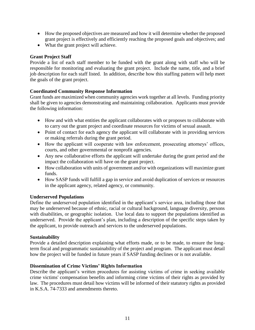- How the proposed objectives are measured and how it will determine whether the proposed grant project is effectively and efficiently reaching the proposed goals and objectives; and
- What the grant project will achieve.

#### **Grant Project Staff**

Provide a list of each staff member to be funded with the grant along with staff who will be responsible for monitoring and evaluating the grant project. Include the name, title, and a brief job description for each staff listed. In addition, describe how this staffing pattern will help meet the goals of the grant project.

#### **Coordinated Community Response Information**

Grant funds are maximized when community agencies work together at all levels. Funding priority shall be given to agencies demonstrating and maintaining collaboration. Applicants must provide the following information:

- How and with what entities the applicant collaborates with or proposes to collaborate with to carry out the grant project and coordinate resources for victims of sexual assault.
- Point of contact for each agency the applicant will collaborate with in providing services or making referrals during the grant period.
- How the applicant will cooperate with law enforcement, prosecuting attorneys' offices, courts, and other governmental or nonprofit agencies.
- Any new collaborative efforts the applicant will undertake during the grant period and the impact the collaboration will have on the grant project.
- How collaboration with units of government and/or with organizations will maximize grant funds.
- How SASP funds will fulfill a gap in service and avoid duplication of services or resources in the applicant agency, related agency, or community.

#### **Underserved Populations**

Define the underserved population identified in the applicant's service area, including those that may be underserved because of ethnic, racial or cultural background, language diversity, persons with disabilities, or geographic isolation. Use local data to support the populations identified as underserved. Provide the applicant's plan, including a description of the specific steps taken by the applicant, to provide outreach and services to the underserved populations.

#### **Sustainability**

Provide a detailed description explaining what efforts made, or to be made, to ensure the longterm fiscal and programmatic sustainability of the project and program. The applicant must detail how the project will be funded in future years if SASP funding declines or is not available.

#### **Dissemination of Crime Victims' Rights Information**

Describe the applicant's written procedures for assisting victims of crime in seeking available crime victims' compensation benefits and informing crime victims of their rights as provided by law. The procedures must detail how victims will be informed of their statutory rights as provided in K.S.A. 74-7333 and amendments thereto.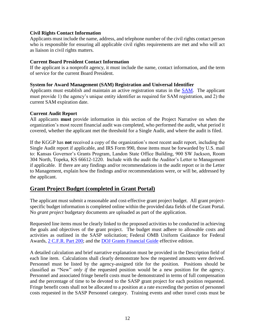#### **Civil Rights Contact Information**

Applicants must include the name, address, and telephone number of the civil rights contact person who is responsible for ensuring all applicable civil rights requirements are met and who will act as liaison in civil rights matters.

#### **Current Board President Contact Information**

If the applicant is a nonprofit agency, it must include the name, contact information, and the term of service for the current Board President.

#### **System for Award Management (SAM) Registration and Universal Identifier**

Applicants must establish and maintain an active registration status in the **SAM**. The applicant must provide 1) the agency's unique entity identifier as required for SAM registration, and 2) the current SAM expiration date.

#### **Current Audit Report**

All applicants **must** provide information in this section of the Project Narrative on when the organization's most recent financial audit was completed, who performed the audit, what period it covered, whether the applicant met the threshold for a Single Audit, and where the audit is filed.

If the KGGP has **not** received a copy of the organization's most recent audit report, including the Single Audit report if applicable, and IRS Form 990, those items must be forwarded by U.S. mail to: Kansas Governor's Grants Program, Landon State Office Building, 900 SW Jackson, Room 304 North, Topeka, KS 66612-1220. Include with the audit the Auditor's Letter to Management if applicable. If there are any findings and/or recommendations in the audit report or in the Letter to Management, explain how the findings and/or recommendations were, or will be, addressed by the applicant.

## **Grant Project Budget (completed in Grant Portal)**

The applicant must submit a reasonable and cost-effective grant project budget. All grant projectspecific budget information is completed online within the provided data fields of the Grant Portal. No *grant project* budgetary documents are uploaded as part of the application.

Requested line items must be clearly linked to the proposed activities to be conducted in achieving the goals and objectives of the grant project. The budget must adhere to allowable costs and activities as outlined in the SASP solicitation; Federal OMB Uniform Guidance for Federal Awards, 2 C.F.R. [Part 200;](http://www.ecfr.gov/cgi-bin/text-idx?SID=2c6d1c9f8de1f9619110b4599d84a234&mc=true&node=pt2.1.200&rgn=div5#_top) and the [DOJ Grants Financial Guide](http://ojp.gov/financialguide/DOJ/index.htm) effective edition.

A detailed calculation and brief narrative explanation must be provided in the Description field of each line item. Calculations shall clearly demonstrate how the requested amounts were derived. Personnel must be listed by the agency-assigned title for the position. Positions should be classified as "New" *only if* the requested position would be a new position for the agency. Personnel and associated fringe benefit costs must be demonstrated in terms of full compensation and the percentage of time to be devoted to the SASP grant project for each position requested. Fringe benefit costs shall not be allocated to a position at a rate exceeding the portion of personnel costs requested in the SASP Personnel category. Training events and other travel costs must be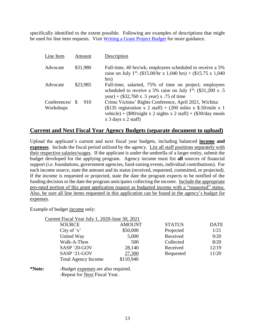specifically identified to the extent possible. Following are examples of descriptions that might be used for line item requests. Visit [Writing a Grant Project Budget](https://grants.ks.gov/docs/default-source/how-to-guides/writing-a-grant-project-budget-guide.pdf?sfvrsn=2d1f541a_4) for more guidance.

| Line Item                    | Amount   | Description                                                                                                                                                                                                                           |
|------------------------------|----------|---------------------------------------------------------------------------------------------------------------------------------------------------------------------------------------------------------------------------------------|
| Advocate                     | \$31,980 | Full-time, 40 hrs/wk; employees scheduled to receive a 5%<br>raise on July 1 <sup>st</sup> : (\$15.00/hr x 1,040 hrs) + (\$15.75 x 1,040<br>hrs)                                                                                      |
| Advocate                     | \$23,985 | Full-time, salaried, 75% of time on project; employees<br>scheduled to receive a 5% raise on July $1^{st}$ : (\$31,200 x .5)<br>year) + $(\$32,760 \times .5 \text{ year}) \times .75 \text{ of time}$                                |
| Conferences/ \$<br>Workshops | 910      | Crime Victims' Rights Conference, April 2021, Wichita:<br>(\$135 registration x 2 staff) + (200 miles x \$.50/mile x 1<br>vehicle) + $(\$90/night \times 2$ nights x 2 staff) + $(\$30/day \text{ meals})$<br>$x$ 3 days $x$ 2 staff) |

#### **Current and Next Fiscal Year Agency Budgets (separate document to upload)**

Upload the applicant's current and next fiscal year budgets, including balanced **income and expenses**. Include the fiscal period utilized by the agency. List all staff positions separately with their respective salaries/wages. If the applicant is under the umbrella of a larger entity, submit the budget developed for the applying program. Agency income must list **all** sources of financial support (i.e. foundations, government agencies, fund-raising events, individual contributions). For each income source, state the amount and its status (received, requested, committed, or projected). If the income is requested or projected, state the date the program expects to be notified of the funding decision or the date the program anticipates collecting the income. Include the appropriate pro-rated portion of this grant application request as budgeted income with a "requested" status. Also, be sure all line items requested in this application can be found in the agency's budget for expenses.

Example of budget income only:

| Current Fiscal Year July 1, 2020-June 30, 2021 |               |               |             |
|------------------------------------------------|---------------|---------------|-------------|
| <b>SOURCE</b>                                  | <b>AMOUNT</b> | <b>STATUS</b> | <b>DATE</b> |
| City of $x'$                                   | \$50,000      | Projected     | 1/21        |
| United Way                                     | 5,000         | Received      | 9/20        |
| Walk-A-Thon                                    | 500           | Collected     | 8/20        |
| SASP '20-GOV                                   | 28,140        | Received      | 12/19       |
| SASP '21-GOV                                   | 27,300        | Requested     | 11/20       |
| <b>Total Agency Income</b>                     | \$110,940     |               |             |
|                                                |               |               |             |

**\*Note:** -Budget expenses are also required. -Repeat for Next Fiscal Year.